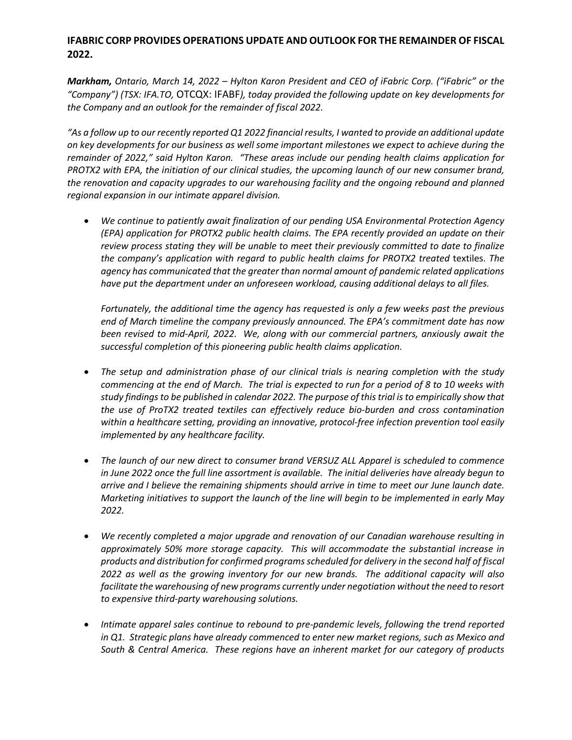## **IFABRIC CORP PROVIDES OPERATIONS UPDATE AND OUTLOOK FOR THE REMAINDER OF FISCAL 2022.**

*Markham, Ontario, March 14, 2022 – Hylton Karon President and CEO of iFabric Corp. ("iFabric" or the "Company") (TSX: IFA.TO,* OTCQX: IFABF*), today provided the following update on key developments for the Company and an outlook for the remainder of fiscal 2022.*

*"As a follow up to our recently reported Q1 2022 financial results, I wanted to provide an additional update on key developments for our business as well some important milestones we expect to achieve during the remainder of 2022," said Hylton Karon. "These areas include our pending health claims application for PROTX2 with EPA, the initiation of our clinical studies, the upcoming launch of our new consumer brand, the renovation and capacity upgrades to our warehousing facility and the ongoing rebound and planned regional expansion in our intimate apparel division.*

• *We continue to patiently await finalization of our pending USA Environmental Protection Agency (EPA) application for PROTX2 public health claims. The EPA recently provided an update on their review process stating they will be unable to meet their previously committed to date to finalize the company's application with regard to public health claims for PROTX2 treated* textiles. *The agency has communicated that the greater than normal amount of pandemic related applications have put the department under an unforeseen workload, causing additional delays to all files.* 

*Fortunately, the additional time the agency has requested is only a few weeks past the previous end of March timeline the company previously announced. The EPA's commitment date has now been revised to mid-April, 2022. We, along with our commercial partners, anxiously await the successful completion of this pioneering public health claims application.*

- *The setup and administration phase of our clinical trials is nearing completion with the study commencing at the end of March. The trial is expected to run for a period of 8 to 10 weeks with study findings to be published in calendar 2022. The purpose of this trial is to empirically show that the use of ProTX2 treated textiles can effectively reduce bio-burden and cross contamination within a healthcare setting, providing an innovative, protocol-free infection prevention tool easily implemented by any healthcare facility.*
- *The launch of our new direct to consumer brand VERSUZ ALL Apparel is scheduled to commence in June 2022 once the full line assortment is available. The initial deliveries have already begun to arrive and I believe the remaining shipments should arrive in time to meet our June launch date. Marketing initiatives to support the launch of the line will begin to be implemented in early May 2022.*
- *We recently completed a major upgrade and renovation of our Canadian warehouse resulting in approximately 50% more storage capacity. This will accommodate the substantial increase in products and distribution for confirmed programs scheduled for delivery in the second half of fiscal 2022 as well as the growing inventory for our new brands. The additional capacity will also facilitate the warehousing of new programs currently under negotiation without the need to resort to expensive third-party warehousing solutions.*
- *Intimate apparel sales continue to rebound to pre-pandemic levels, following the trend reported in Q1. Strategic plans have already commenced to enter new market regions, such as Mexico and South & Central America. These regions have an inherent market for our category of products*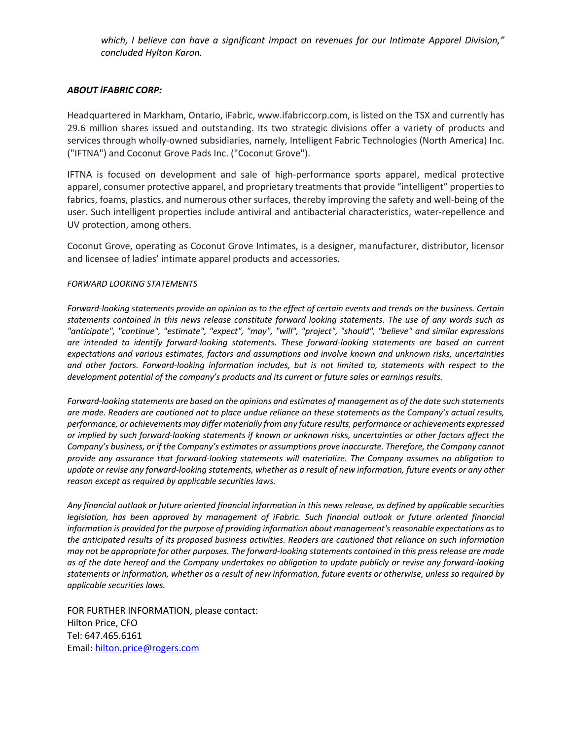*which, I believe can have a significant impact on revenues for our Intimate Apparel Division," concluded Hylton Karon.*

## *ABOUT iFABRIC CORP:*

Headquartered in Markham, Ontario, iFabric, www.ifabriccorp.com, is listed on the TSX and currently has 29.6 million shares issued and outstanding. Its two strategic divisions offer a variety of products and services through wholly-owned subsidiaries, namely, Intelligent Fabric Technologies (North America) Inc. ("IFTNA") and Coconut Grove Pads Inc. ("Coconut Grove").

IFTNA is focused on development and sale of high-performance sports apparel, medical protective apparel, consumer protective apparel, and proprietary treatments that provide "intelligent" properties to fabrics, foams, plastics, and numerous other surfaces, thereby improving the safety and well-being of the user. Such intelligent properties include antiviral and antibacterial characteristics, water-repellence and UV protection, among others.

Coconut Grove, operating as Coconut Grove Intimates, is a designer, manufacturer, distributor, licensor and licensee of ladies' intimate apparel products and accessories.

## *FORWARD LOOKING STATEMENTS*

*Forward-looking statements provide an opinion as to the effect of certain events and trends on the business. Certain statements contained in this news release constitute forward looking statements. The use of any words such as "anticipate", "continue", "estimate", "expect", "may", "will", "project", "should", "believe" and similar expressions are intended to identify forward-looking statements. These forward-looking statements are based on current expectations and various estimates, factors and assumptions and involve known and unknown risks, uncertainties and other factors. Forward-looking information includes, but is not limited to, statements with respect to the development potential of the company's products and its current or future sales or earnings results.*

*Forward-looking statements are based on the opinions and estimates of management as of the date such statements are made. Readers are cautioned not to place undue reliance on these statements as the Company's actual results, performance, or achievements may differ materially from any future results, performance or achievements expressed or implied by such forward-looking statements if known or unknown risks, uncertainties or other factors affect the Company's business, or if the Company's estimates or assumptions prove inaccurate. Therefore, the Company cannot provide any assurance that forward-looking statements will materialize. The Company assumes no obligation to update or revise any forward-looking statements, whether as a result of new information, future events or any other reason except as required by applicable securities laws.*

*Any financial outlook or future oriented financial information in this news release, as defined by applicable securities legislation, has been approved by management of iFabric. Such financial outlook or future oriented financial information is provided for the purpose of providing information about management's reasonable expectations as to the anticipated results of its proposed business activities. Readers are cautioned that reliance on such information may not be appropriate for other purposes. The forward-looking statements contained in this press release are made as of the date hereof and the Company undertakes no obligation to update publicly or revise any forward-looking statements or information, whether as a result of new information, future events or otherwise, unless so required by applicable securities laws.*

FOR FURTHER INFORMATION, please contact: Hilton Price, CFO Tel: 647.465.6161 Email: hilton.price@rogers.com